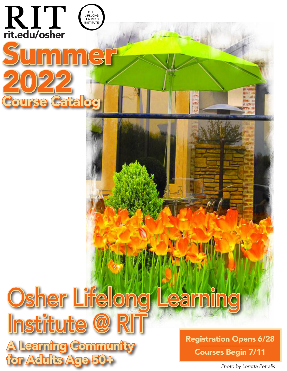

## Osher Lifelong Learning Institute @ F

Learning Community  $46M$ i $\ddot{\phantom{1}}$ 

Registration Opens 6/28 Courses Begin 7/11

*Photo by Loretta Petralis*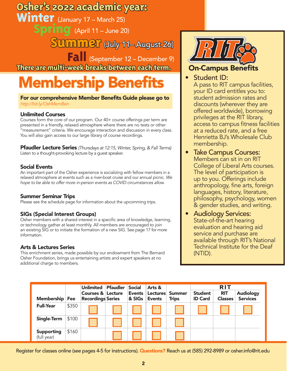## **Osher's 2022 academic year:**

Winter (January 17 – March 25)

**Spring** (April 11 – June 20)

**Summer** (July 11– August 26)

 **Fall** (September 12 – December 9) **There are multi-week breaks between each term.**

## **Membership Benefits In Student ID:**

For our comprehensive Member Benefits Guide please go to *http://bit.ly/OshMemBen*

### Unlimited Courses

Courses form the core of our program. Our 40+ course offerings per term are presented in a friendly, relaxed atmosphere where there are no tests or other "measurement" criteria. We encourage interaction and discussion in every class. You will also gain access to our large library of course recordings.

Pfaudler Lecture Series *(Thursdays at 12:15, Winter, Spring, & Fall Terms)* Listen to a thought-provoking lecture by a guest speaker.

### Social Events

An important part of the Osher experience is socializing with fellow members in a relaxed atmosphere at events such as a river-boat cruise and our annual picnic. *We hope to be able to offer more in-person events as COVID circumstances allow.*

### Summer Seminar Trips

Please see the schedule page for information about the upcomming trips.

### SIGs (Special Interest Groups)

Osher members with a shared interest in a specific area of knowledge, learning, or technology gather at least monthly. All members are encouraged to join an existing SIG or to initiate the formation of a new SIG. See page 17 for more information.

### Arts & Lectures Series

This enrichment series, made possible by our endowment from The Bernard Osher Foundation, brings us entertaining artists and expert speakers at no additional charge to members.



### On-Campus Benefits

A pass to RIT campus facilities, your ID card entitles you to: student admission rates and discounts (wherever they are offered worldwide), borrowing privileges at the RIT library, access to campus fitness facilities at a reduced rate, and a free Henrietta BJ's Wholesale Club membership.

- **Take Campus Courses:** Members can sit in on RIT College of Liberal Arts courses. The level of participation is up to you. Offerings include anthropology, fine arts, foreign languages, history, literature, philosophy, psychology, women & gender studies, and writing.
- Audiology Services: State-of-the-art hearing evaluation and hearing aid service and purchase are available through RIT's National Technical Institute for the Deaf (NTID).

| <b>Membership</b> Fee            |       | <b>Unlimited</b><br>Courses & Lecture<br><b>Recordings Series</b> | <b>Pfaudler</b> | <b>Social</b><br>Events<br>& SIGs | Arts &<br>Lectures<br><b>Events</b> | <b>Summer</b><br><b>Trips</b> | <b>Student</b><br><b>ID Card</b> | <b>RIT</b><br><b>RIT</b><br><b>Classes</b> | <b>Audiology</b><br><b>Services</b> |
|----------------------------------|-------|-------------------------------------------------------------------|-----------------|-----------------------------------|-------------------------------------|-------------------------------|----------------------------------|--------------------------------------------|-------------------------------------|
| <b>Full-Year</b>                 | \$350 |                                                                   |                 |                                   |                                     |                               |                                  |                                            |                                     |
| <b>Single-Term</b>               | \$100 |                                                                   |                 |                                   |                                     |                               |                                  |                                            |                                     |
| <b>Supporting</b><br>(full year) | \$160 |                                                                   |                 |                                   |                                     |                               |                                  |                                            |                                     |

Register for classes online (see pages 4-5 for instructions). Questions? Reach us at (585) 292-8989 or osher.info@rit.edu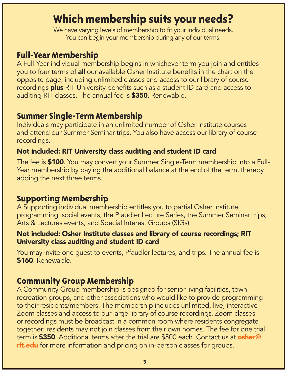### **Which membership suits your needs?**

We have varying levels of membership to fit your individual needs. You can begin your membership during any of our terms.

### **Full-Year Membership**

A Full-Year individual membership begins in whichever term you join and entitles you to four terms of **all** our available Osher Institute benefits in the chart on the opposite page, including unlimited classes and access to our library of course recordings plus RIT University benefits such as a student ID card and access to auditing RIT classes. The annual fee is \$350. Renewable.

### **Summer Single-Term Membership**

Individuals may participate in an unlimited number of Osher Institute courses and attend our Summer Seminar trips. You also have access our library of course recordings.

### Not included: RIT University class auditing and student ID card

The fee is \$100. You may convert your Summer Single-Term membership into a Full-Year membership by paying the additional balance at the end of the term, thereby adding the next three terms.

### **Supporting Membership**

A Supporting individual membership entitles you to partial Osher Institute programming: social events, the Pfaudler Lecture Series, the Summer Seminar trips, Arts & Lectures events, and Special Interest Groups (SIGs).

### Not included: Osher Institute classes and library of course recordings; RIT University class auditing and student ID card

You may invite one guest to events, Pfaudler lectures, and trips. The annual fee is \$160. Renewable.

### **Community Group Membership**

A Community Group membership is designed for senior living facilities, town recreation groups, and other associations who would like to provide programming to their residents/members. The membership includes unlimited, live, interactive Zoom classes and access to our large library of course recordings. Zoom classes or recordings must be broadcast in a common room where residents congregate together; residents may not join classes from their own homes. The fee for one trial term is \$350. Additional terms after the trial are \$500 each. Contact us at osher@ rit.edu for more information and pricing on in-person classes for groups.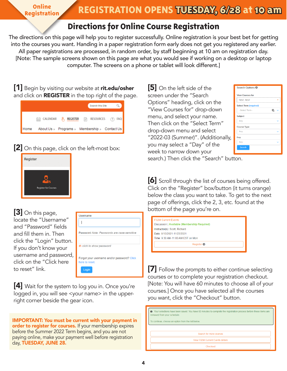**Registration**

### **Directions for Online Course Registration**

The directions on this page will help you to register successfully. Online registration is your best bet for getting into the courses you want. Handing in a paper registration form early does not get you registered any earlier. All paper registrations are processed, in random order, by staff beginning at 10 am on registration day. [Note: The sample screens shown on this page are what you would see if working on a desktop or laptop computer. The screens on a phone or tablet will look different.]

[1] Begin by visiting our website at rit.edu/osher and click on **REGISTER** in the top right of the page.

| Search this Site                                                            |
|-----------------------------------------------------------------------------|
| <b>FAO</b><br>CALENDAR R REGISTER <b>P</b> RESOURCES<br>(9<br>$rac{1}{222}$ |
| Home About Us » Programs » Membership » Contact Us                          |

### [2] On this page, click on the left-most box:



[3] On this page, locate the "Username" and "Password" fields and fill them in. Then click the "Login" button. If you don't know your username and password, click on the "Click here to reset" link.

| Username                                                      |  |
|---------------------------------------------------------------|--|
|                                                               |  |
| Password Note: Passwords are case-sensitive                   |  |
| <b>D</b> click to show password                               |  |
| Forgot your username and/or password? Click<br>here to reset. |  |
| Login                                                         |  |

[4] Wait for the system to log you in. Once you're logged in, you will see <your name> in the upperright corner beside the gear icon.

IMPORTANT: You must be current with your payment in order to register for courses. If your membership expires before the Summer 2022 Term begins, and you are not paying online, make your payment well before registration day, TUESDAY, JUNE 28.

[5] On the left side of the screen under the "Search Options" heading, click on the "View Courses for" drop-down menu, and select your name. Then click on the "Select Term" drop-down menu and select "2022-03 (Summer)". (Additionally, you may select a "Day" of the week to narrow down your

| Search Options <sup>®</sup>   |  |
|-------------------------------|--|
| <b>View Courses for</b>       |  |
| <b>TEST, TEST</b>             |  |
| <b>Select Term (required)</b> |  |
| -Select Term--                |  |
| <b>Subject</b>                |  |
| Any                           |  |
| <b>Course Type</b>            |  |
| Any                           |  |
| Day                           |  |
| Any                           |  |
| Search                        |  |

search.) Then click the "Search" button.

[6] Scroll through the list of courses being offered. Click on the "Register" box/button (it turns orange) below the class you want to take. To get to the next page of offerings, click the 2, 3, etc. found at the bottom of the page you're on.

| Instructor(s): Scott, Richard |
|-------------------------------|

 $7]$  Follow the prompts to either continue selecting courses or to complete your registration checkout. [Note: You will have 60 minutes to choose all of your courses.] Once you have selected all the courses you want, click the "Checkout" button.

| <b>O</b> Your selections have been saved. You have 60 minutes to complete the registration process before these items are<br>removed from your schedule. |  |  |  |  |
|----------------------------------------------------------------------------------------------------------------------------------------------------------|--|--|--|--|
| To continue, choose an option from the list below.                                                                                                       |  |  |  |  |
|                                                                                                                                                          |  |  |  |  |
| Search for more courses                                                                                                                                  |  |  |  |  |
| View F02M Current Events details                                                                                                                         |  |  |  |  |
| Checkout                                                                                                                                                 |  |  |  |  |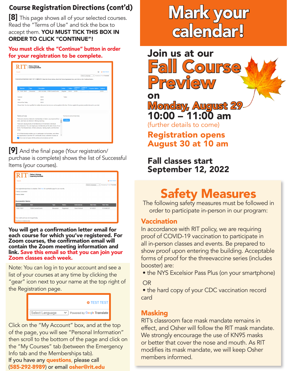[8] This page shows all of your selected courses. Read the "Terms of Use" and tick the box to accept them. YOU MUST TICK THIS BOX IN ORDER TO CLICK "CONTINUE"!

### You must click the "Continue" button in order for your registration to be complete.

| Search                            |                                                   |                                                                                                                                                                                                                       |          |        |                              |                            |                        | <b>E1 O TEST TEST</b>       |
|-----------------------------------|---------------------------------------------------|-----------------------------------------------------------------------------------------------------------------------------------------------------------------------------------------------------------------------|----------|--------|------------------------------|----------------------------|------------------------|-----------------------------|
|                                   |                                                   |                                                                                                                                                                                                                       |          |        |                              | Select Language            |                        | Powered by Google Translate |
|                                   |                                                   | YOUR REGISTRATION IS NOT YET COMPLETE. Read the Terms below, check the Terms Agreement box, and click on the Continue button.                                                                                         |          |        |                              |                            |                        |                             |
|                                   |                                                   |                                                                                                                                                                                                                       |          |        |                              |                            |                        |                             |
| Member                            | Type                                              | <b>Description</b>                                                                                                                                                                                                    | Action   | Tuiton | Additional<br>Fees           | Additional<br><b>Items</b> | <b>Payment Options</b> | Subtotal                    |
| <b>TEST. TEST</b><br>$\mathbf{x}$ | Discussion                                        | 2021-04 (Fall) -- F02M Current Events                                                                                                                                                                                 | Register | \$0.00 | \$0.00                       |                            |                        | \$0.00                      |
|                                   |                                                   |                                                                                                                                                                                                                       |          |        |                              |                            |                        |                             |
| Subtotal:                         |                                                   | \$0.00                                                                                                                                                                                                                | Tuition  |        |                              |                            |                        |                             |
| Total                             |                                                   |                                                                                                                                                                                                                       |          |        |                              |                            |                        |                             |
|                                   |                                                   | \$0.00                                                                                                                                                                                                                |          |        |                              |                            |                        |                             |
| Amount Due Today:                 |                                                   | \$0.00                                                                                                                                                                                                                |          |        |                              |                            |                        |                             |
|                                   |                                                   | Please Note: You have qualified for multiple discounts, but only one can be applied at this time. We have applied the greatest possible discount to your total.                                                       |          |        |                              |                            |                        |                             |
|                                   |                                                   |                                                                                                                                                                                                                       |          |        | You have no amount due today |                            |                        |                             |
|                                   | older, and have an interest in lifelong learning. | There are only two criteria for membership in Osher, you must be 50 or -                                                                                                                                              | Continue |        |                              |                            |                        |                             |
|                                   |                                                   | There are varying levels of membership to fit members' individual<br>circumstances. You can begin your membership at the start of any of our<br>terms: Fall (September), Winter (January), Spring (April), and Summer |          |        |                              |                            |                        |                             |
| Terms of Use<br>(July).           |                                                   | A Full Membership entitles you to participate in all activities, and offers                                                                                                                                           |          |        |                              |                            |                        |                             |

[9] And the final page (Your registration/ purchase is complete) shows the list of Successful Items (your courses).

| <b>RIT</b>                              | Osher Lifelong<br>Learning Institute                                                      |                   |               |                |                   |                                             |  |
|-----------------------------------------|-------------------------------------------------------------------------------------------|-------------------|---------------|----------------|-------------------|---------------------------------------------|--|
| Search                                  |                                                                                           |                   |               |                |                   | <b>O</b> TEST TEST                          |  |
|                                         |                                                                                           |                   |               |                | Select Language   | $\checkmark$<br>Powered by Google Translate |  |
|                                         | Your registration/purchase is complete. Click here for a printable page for your records. |                   |               |                |                   |                                             |  |
| 1 item(s) succeeded                     |                                                                                           |                   |               |                |                   |                                             |  |
| 0 item(s) failed                        |                                                                                           |                   |               |                |                   |                                             |  |
|                                         |                                                                                           |                   |               |                |                   |                                             |  |
| <b>Successful Items:</b>                |                                                                                           |                   |               |                |                   |                                             |  |
| <b>Student</b>                          | <b>Item</b>                                                                               | Type              | <b>Status</b> | Instructor(s)  | <b>Start Date</b> | <b>Start Time</b>                           |  |
| <b>TEST, TEST</b>                       | <b>F02M Current Events</b>                                                                | <b>Discussion</b> | Registered    | Scott, Richard | 9/13/2021         | 9:30 AM EST                                 |  |
|                                         |                                                                                           |                   |               |                |                   |                                             |  |
|                                         |                                                                                           |                   |               |                |                   |                                             |  |
| Your credit card was not charged today. |                                                                                           |                   |               |                |                   |                                             |  |
| You have no balance due.                |                                                                                           |                   |               |                |                   |                                             |  |

You will get a confirmation letter email for each course for which you've registered. For Zoom courses, the confirmation email will contain the Zoom meeting information and link. Save this email so that you can join your Zoom classes each week.

Note: You can log in to your account and see a list of your courses at any time by clicking the "gear" icon next to your name at the top right of the Registration page.

|                 | <b>O</b> TEST TEST          |
|-----------------|-----------------------------|
| Select Language | Powered by Google Translate |

If you have any questions, please call (585-292-8989) or email osher@rit.edu Click on the "My Account" box, and at the top of the page, you will see "Personal Information" then scroll to the bottom of the page and click on the "My Courses" tab (between the Emergency Info tab and the Memberships tab).

## **Course Registration Directions (cont'd)**<br>[8] This page shows all of your selected courses. **Mark your** calendar!

Fall Course<br>Preview on Monday, August 29 10:00 – 11:00 am (further details to come)

Join us at our

Registration opens August 30 at 10 am

### Fall classes start September 12, 2022

## Safety Measures

The following safety measures must be followed in order to participate in-person in our program:

### **Vaccination**

In accordance with RIT policy, we are requiring proof of COVID-19 vaccination to participate in all in-person classes and events. Be prepared to show proof upon entering the building. Acceptable forms of proof for the threevaccine series (includes booster) are:

• the NYS Excelsior Pass Plus (on your smartphone)

OR

 • the hard copy of your CDC vaccination record card

### Masking

RIT's classroom face mask mandate remains in effect, and Osher will follow the RIT mask mandate. We strongly encourage the use of KN95 masks or better that cover the nose and mouth. As RIT modifies its mask mandate, we will keep Osher members informed.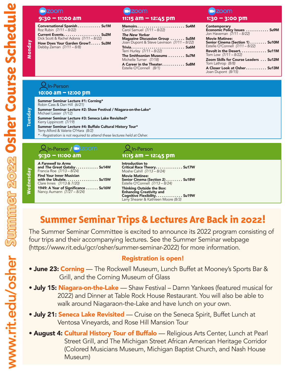## **a**<sub>zoom</sub>

Conversational Spanish . . . . . . . . . . Su1M Roz Rubin *(7/11 – 8/22)*

Current Events. . . . . . . . . . . . . . . . . Su2M Dick Scott & Rachel Adonis *(7/11 – 8/22)* How Does Your Garden Grow?..... Su3M

Debby Zeman *(7/11 – 8/8)*

### **a**zoom **9:30 – 11:00 am 11:15 am – 12:45 pm 1:30 – 3:00 pm**

Memoirs . . Su4M Carol Samuel *(7/11 – 8/22)*

*The New Yorker* Magazine Discussion Group . . . . . . . Su5M Joan Dupont & Steve Levinson *(7/11 – 8/22)*  $Trivia \ldots \ldots \ldots \ldots \ldots \ldots \ldots$  Su6M

Terri Hurley *(7/11 – 8/22)* The Smithsonian Museums . . . . . . . . Su7M Michelle Turner *(7/18)*

A Career in the Theater........... Su8M Estelle O'Connell *(8/1)*

## **zoom**

| Contemporary<br>Economic Policy Issues Su9M<br>Jon Haveman (7/11 - 8/22) |  |
|--------------------------------------------------------------------------|--|
| <b>Movie Matinee:</b><br>Senior Cinema (Section 1)  Su10M                |  |
| Estelle O'Connell (7/11 - 8/22)                                          |  |
| Revolt in the Desert Su11M<br>Tom Low (7/11 - 8/22)                      |  |
| Zoom Skills for Course Leaders  Su12M<br>Tom Lathrop (8/8)               |  |
| A Closer Look at Osher Su13M<br>Joan Dupont (8/15)                       |  |

### **10:00 am – 12:00 pm U**In-Person

Summer Seminar Lecture #1: Corning\* Robin Cass & Dan Hill *(6/21)*

Summer Seminar Lecture #2: Shaw Festival / Niagara-on-the-Lake\* Michael Lasser *(7/12)*

Summer Seminar Lecture #3: Seneca Lake Revisited\* Kerry Lippincott *(7/19)*

Summer Seminar Lecture #4: Buffalo Cultural History Tour\* Terry Alford & Valerie O'Hara *(8/2)*

*\* - Registration is not required to attend these lectures held at Osher.*

### **9:30 – 11:00 am 11:15 am – 12:45 pm Q** In-Person **/ In-Person**

*A Farewell to Arms* and *The Great Gatsby* . . . . . . . . . . Su14W Francia Roe *(7/13 – 8/24)*

Find Your Inner Musician with the Ukulele.  $\dots\dots\dots\dots\dots$  Su15W Clare Innes *(7/13 & 7/20)* 1949: A Year of Significance . . . . . . Su16W

Nancy Aumann *(7/27 – 8/24)*

Introduction to Critical Race Theory . . . . . . . . . . . . Su17W Moshe Cahill *(7/13 – 8/24)* Movie Matinee: Senior Cinema (Section 2) . . . . . . . . Su18W Estelle O'Connell *(7/13 – 8/24)* Thinking Outside the Box: Enhancing Creativity and Cognitive Flexibility .............. Su19W Larry Shearer & Kathleen Moore *(8/3)*

### **Summer Seminar Trips & Lectures Are Back in 2022!**

The Summer Seminar Committee is excited to announce its 2022 program consisting of four trips and their accompanying lectures. See the Summer Seminar webpage (https://www.rit.edu/gcr/osher/summer-seminar-2022) for more information.

### Registration is open!

- June 23: Corning The Rockwell Museum, Lunch Buffet at Mooney's Sports Bar & Grill, and the Corning Museum of Glass
- July 15: Niagara-on-the-Lake Shaw Festival Damn Yankees (featured musical for 2022) and Dinner at Table Rock House Restaurant. You will also be able to walk around Niagaraon-the-Lake and have lunch on your own.
- **July 21: Seneca Lake Revisited** Cruise on the Seneca Spirit, Buffet Lunch at Ventosa Vineyards, and Rose Hill Mansion Tour
- August 4: Cultural History Tour of Buffalo Religious Arts Center, Lunch at Pearl Street Grill, and The Michigan Street African American Heritage Corridor (Colored Musicians Museum, Michigan Baptist Church, and Nash House Museum)

**Monday**

**Summer 2022 Osher Course Schedule**

www.rit.edu/osher Summer 2022 Osher Course Schedule

www.rit.edu/osher

**Wednesday** Wednesday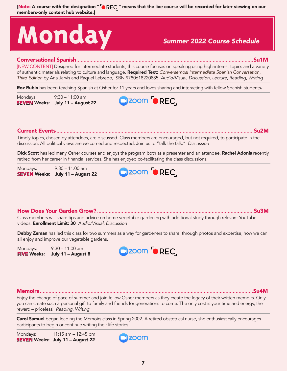# **Monday** *Summer 2022 Course Schedule*

### Conversational Spanish..........................................................................................................................Su1M

[NEW CONTENT] Designed for intermediate students, this course focuses on speaking using high-interest topics and a variety of authentic materials relating to culture and language. Required Text: *Conversemos! Intermediate Spanish Conversation, Third Edition* by Ana Jarvis and Raquel Lebredo, ISBN 9780618220885 *Audio/Visual, Discussion, Lecture, Reading, Writing*

Roz Rubin has been teaching Spanish at Osher for 11 years and loves sharing and interacting with fellow Spanish students.

Mondays: 9:30 – 11:00 am SEVEN Weeks: July 11 – August 22



### Current Events ........................................................................................................................................Su2M

Timely topics, chosen by attendees, are discussed. Class members are encouraged, but not required, to participate in the discussion. All political views are welcomed and respected. Join us to "talk the talk." *Discussion*

Dick Scott has led many Osher courses and enjoys the program both as a presenter and an attendee. Rachel Adonis recently retired from her career in financial services. She has enjoyed co-facilitating the class discussions.

Mondays: 9:30 – 11:00 am SEVEN Weeks: July 11 – August 22



### How Does Your Garden Grow?............................................................................................................Su3M

Class members will share tips and advice on home vegetable gardening with additional study through relevant YouTube videos. Enrollment Limit: 30 *Audio/Visual, Discussion*

Debby Zeman has led this class for two summers as a way for gardeners to share, through photos and expertise, how we can all enjoy and improve our vegetable gardens.

Mondays: 9:30 – 11:00 am FIVE Weeks: July 11 - August 8



### Memoirs ...................................................................................................................................................Su4M

Enjoy the change of pace of summer and join fellow Osher members as they create the legacy of their written memoirs. Only you can create such a personal gift to family and friends for generations to come. The only cost is your time and energy, the reward – priceless! *Reading, Writing*

Carol Samuel began leading the Memoirs class in Spring 2002. A retired obstetrical nurse, she enthusiastically encourages participants to begin or continue writing their life stories.

Mondays: 11:15 am – 12:45 pm SEVEN Weeks: July 11 – August 22

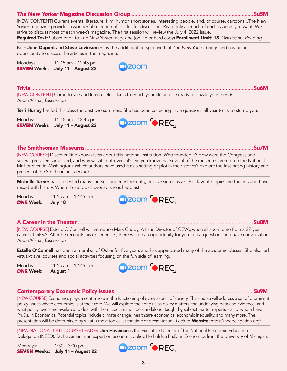### *The New Yorker* Magazine Discussion Group ....................................................................................Su5M

[NEW CONTENT] Current events, literature, film, humor, short stories, interesting people, and, of course, cartoons...The New Yorker magazine provides a wonderful selection of articles for discussion. Read only as much of each issue as you want. We strive to discuss most of each week's magazine. The first session will review the July 4, 2022 issue. Required Text: Subscription to *The New Yorker* magazine (online or hard copy) Enrollment Limit: 18 *Discussion, Reading*

Both Joan Dupont and Steve Levinson enjoy the additional perspective that *The New Yorker* brings and having an opportunity to discuss the articles in the magazine.

Mondays: 11:15 am – 12:45 pm SEVEN Weeks: July 11 – August 22



Trivia .........................................................................................................................................................Su6M [NEW CONTENT] Come to see and learn useless facts to enrich your life and be ready to dazzle your friends. *Audio/Visual, Discussion*

**Terri Hurley** has led this class the past two summers. She has been collecting trivia questions all year to try to stump you.

Mondays: 11:15 am – 12:45 pm SEVEN Weeks: July 11 – August 22



#### The Smithsonian Museums....................................................................................................................Su7M

[NEW COURSE] Discover little-known facts about this national institution. Who founded it? How were the Congress and several presidents involved, and why was it controversial? Did you know that several of the museums are not on the National Mall or even in Washington? Which authors have used it as a setting or plot in their stories? Explore the fascinating history and present of the Smithsonian. *Lecture*

**Michelle Turner** has presented many courses, and most recently, one-session classes. Her favorite topics are the arts and travel mixed with history. When these topics overlap she is happiest.

Monday: 11:15 am – 12:45 pm **ONE Week: July 18** 



#### A Career in the Theater .........................................................................................................................Su8M

[NEW COURSE] Estelle O'Connell will introduce Mark Cuddy, Artistic Director of GEVA, who will soon retire from a 27-year career at GEVA. After he recounts his experiences, there will be an opportunity for you to ask questions and have conversation. *Audio/Visual, Discussion*

**Estelle O'Connell** has been a member of Osher for five years and has appreciated many of the academic classes. She also led virtual-travel courses and social activities focusing on the fun side of learning.

Monday: 11:15 am – 12:45 pm **ONE** Week: August 1



### Contemporary Economic Policy Issues................................................................................................Su9M

[NEW COURSE] Economics plays a central role in the functioning of every aspect of society. This course will address a set of prominent policy issues where economics is at their core. We will explore their origins as policy matters, the underlying data and evidence, and what policy levers are available to deal with them. Lectures will be standalone, taught by subject matter experts – all of whom have Ph.Ds. in Economics. Potential topics include climate change, healthcare economics, economic inequality, and many more. The presentation will be determined by what is most topical at the time of presentation. *Lecture* Website: https://needelegation.org/

[NEW NATIONAL OLLI COURSE LEADER] **Jon Haveman** is the Executive Director of the National Economic Education Delegation (NEED). Dr. Haveman is an expert on economic policy. He holds a Ph.D. in Economics from the University of Michigan.

Mondays: 1:30 – 3:00 pm **SEVEN** Weeks: July 11 - August 22



8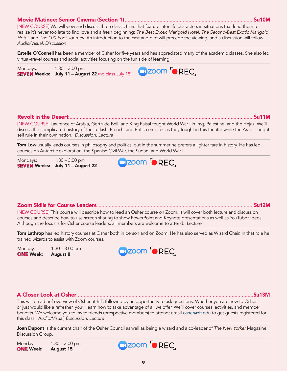### Movie Matinee: Senior Cinema (Section 1).........................................................................................Su10M

[NEW COURSE] We will view and discuss three classic films that feature later-life characters in situations that lead them to realize it's never too late to find love and a fresh beginning: *The Best Exotic Marigold Hotel*, *The Second-Best Exotic Marigold Hotel*, and *The 100-Foot Journey*. An introduction to the cast and plot will precede the viewing, and a discussion will follow. *Audio/Visual, Discussion*

**Estelle O'Connell** has been a member of Osher for five years and has appreciated many of the academic classes. She also led virtual-travel courses and social activities focusing on the fun side of learning.

**Q**zoom **O**REC

Mondays: 1:30 – 3:00 pm **SEVEN Weeks:** July 11 - August 22 (no class July 18)

### Revolt in the Desert ...............................................................................................................................Su11M

[NEW COURSE] Lawrence of Arabia, Gertrude Bell, and King Faisal fought World War I in Iraq, Palestine, and the Hejaz. We'll discuss the complicated history of the Turkish, French, and British empires as they fought in this theatre while the Arabs sought self rule in their own nation. *Discussion, Lecture*

Cizoom <sup>6</sup>REC.

**Tom Low** usually leads courses in philosophy and politics, but in the summer he prefers a lighter fare in history. He has led courses on Antarctic exploration, the Spanish Civil War, the Sudan, and World War I.

Mondays: 1:30 – 3:00 pm SEVEN Weeks: July 11 - August 22

### Zoom Skills for Course Leaders............................................................................................................Su12M

[NEW COURSE] This course will describe how to lead an Osher course on Zoom. It will cover both lecture and discussion courses and describe how to use screen sharing to show PowerPoint and Keynote presentations as well as YouTube videos. Although the focus is for Osher course leaders, all members are welcome to attend. *Lecture*

**Tom Lathrop** has led history courses at Osher both in person and on Zoom. He has also served as Wizard Chair. In that role he trained wizards to assist with Zoom courses.

Monday: 1:30 – 3:00 pm **ONE** Week: August 8



### A Closer Look at Osher .........................................................................................................................Su13M

This will be a brief overview of Osher at RIT, followed by an opportunity to ask questions. Whether you are new to Osher or just would like a refresher, you'll learn how to take advantage of all we offer. We'll cover courses, activities, and member benefits. We welcome you to invite friends (prospective members) to attend; email osher@rit.edu to get guests registered for this class. *Audio/Visual, Discussion, Lecture*

Joan Dupont is the current chair of the Osher Council as well as being a wizard and a co-leader of *The New Yorker* Magazine Discussion Group.

Monday: 1:30 – 3:00 pm ONE Week: August 15



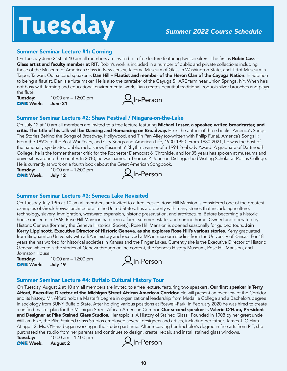# **Tuesday** *Summer 2022 Course Schedule*

### Summer Seminar Lecture #1: Corning

On Tuesday June 21st at 10 am all members are invited to a free lecture featuring two speakers. The first is Robin Cass -Glass artist and faculty member at RIT. Robin's work is included in a number of public and private collections including those of the Museum of American Glass in New Jersey, Tacoma Museum of Glass in Washington State, and Tittot Museum in Taipei, Taiwan. Our second speaker is **Dan Hill – Flautist and member of the Heron Clan of the Cayuga Nation**. In addition to being a flautist, Dan is a flute maker. He is also the caretaker of the Cayuga SHARE farm near Union Springs, NY. When he's not busy with farming and educational environmental work, Dan creates beautiful traditional Iroquois silver brooches and plays the flute.

**Tuesday:** 10:00 am – 12:00 pm ONE Week: June 21



### Summer Seminar Lecture #2: Shaw Festival / Niagara-on-the-Lake

On July 12 at 10 am all members are invited to a free lecture featuring **Michael Lasser, a speaker, writer, broadcaster, and** critic. The title of his talk will be Dancing and Romancing on Broadway. He is the author of three books: America's Songs: The Stories Behind the Songs of Broadway, Hollywood, and Tin Pan Alley (co-written with Philip Furia), America's Songs II: From the 1890s to the Post-War Years, and City Songs and American Life, 1900-1950. From 1980-2021, he was the host of the nationally syndicated public radio show, Fascinatin' Rhythm, winner of a 1994 Peabody Award. A graduate of Dartmouth College, he is the former theater critic for the Rochester Democrat & Chronicle, and for 35 years has spoken at museums and universities around the country. In 2010, he was named a Thomas P. Johnson Distinguished Visiting Scholar at Rollins College. He is currently at work on a fourth book about the Great American Songbook.

**Tuesday:** 10:00 am – 12:00 pm ONE Week: July 12



### Summer Seminar Lecture #3: Seneca Lake Revisited

On Tuesday July 19th at 10 am all members are invited to a free lecture. Rose Hill Mansion is considered one of the greatest examples of Greek Revival architecture in the United States. It is a property with many stories that include agriculture, technology, slavery, immigration, westward expansion, historic preservation, and architecture. Before becoming a historic house museum in 1968, Rose Hill Mansion had been a farm, summer estate, and nursing home. Owned and operated by Historic Geneva (formerly the Geneva Historical Society), Rose Hill Mansion is opened seasonally for guided tours. Join Kerry Lippincott, Executive Director of Historic Geneva, as she explores Rose Hill's various stories. Kerry graduated from Binghamton University with a BA in history and received a MA in museum studies from the University of Kansas. For 18 years she has worked for historical societies in Kansas and the Finger Lakes. Currently she is the Executive Director of Historic Geneva which tells the stories of Geneva through online content, the Geneva History Museum, Rose Hill Mansion, and Johnston House.

**Tuesday:** 10:00 am – 12:00 pm ONE Week: July 19



### Summer Seminar Lecture #4: Buffalo Cultural History Tour

On Tuesday, August 2 at 10 am all members are invited to a free lecture, featuring two speakers. Our first speaker is Terry Alford, Executive Director of the Michigan Street African American Corridor. He will present an overview of the Corridor and its history. Mr. Alford holds a Master's degree in organizational leadership from Medaille College and a Bachelor's degree in sociology from SUNY Buffalo State. After holding various positions at Roswell-Park, in February 2020 he was hired to create a unified master plan for the Michigan Street African-American Corridor. Our second speaker is Valerie O'Hara, President and Designer at Pike Stained Glass Studios. Her topic is 'A History of Stained Glass'. Founded in 1908 by her great uncle William Pike, the Pike Stained Glass Studios employed several designers and artists, including her father, James J. O'Hara. At age 12, Ms. O'Hara began working in the studio part time. After receiving her Bachelor's degree in fine arts from RIT, she purchased the studio from her parents and continues to design, create, repair, and install stained glass windows.

**Tuesday:** 10:00 am – 12:00 pm ONE Week: August 2

Q<sub>In-Person</sub>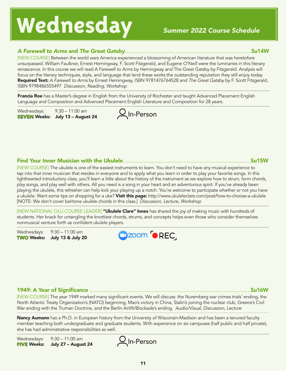## **Wednesday** *Summer 2022 Course Schedule*

### *A Farewell to Arms* and *The Great Gatsby*.......................................................................................Su14W

[NEW COURSE] Between the world wars America experienced a blossoming of American literature that was heretofore unsurpassed. William Faulkner, Ernest Hemingway, F. Scott Fitzgerald, and Eugene O'Neill were the luminaries in this literary renascence. In this course we will read A Farewell to Arms by Hemingway and The Great Gatsby by Fitzgerald. Analysis will focus on the literary techniques, style, and language that lend these works the outstanding reputation they still enjoy today. Required Text: *A Farewell to Arms* by Ernest Hemingway, ISBN 9781476764528 and *The Great Gatsby* by F. Scott Fitzgerald, ISBN 9798486555497 *Discussion, Reading, Workshop*

**Francia Roe** has a Master's degree in English from the University of Rochester and taught Advanced Placement English Language and Composition and Advanced Placement English Literature and Composition for 28 years.

In-Person

Wednesdays: 9:30 – 11:00 am SEVEN Weeks: July 13 – August 24





[NEW COURSE] The ukulele is one of the easiest instruments to learn. You don't need to have any musical experience to tap into that inner musician that resides in everyone and to apply what you learn in order to play your favorite songs. In this lighthearted introductory class, you'll learn a little about the history of the instrument as we explore how to strum, form chords, play songs, and play well with others. All you need is a song in your heart and an adventurous spirit. If you've already been playing the ukulele, this refresher can help kick your playing up a notch. You're welcome to participate whether or not you have a ukulele. Want some tips on shopping for a uke? Visit this page: http://www.ukuleleclare.com/post/how-to-choose-a-ukulele [NOTE: We don't cover baritone ukulele chords in this class.] *Discussion, Lecture, Workshop*

[NEW NATIONAL OLLI COURSE LEADER] "Ukulele Clare" Innes has shared the joy of making music with hundreds of students. Her knack for untangling the knottiest chords, strums, and concepts helps even those who consider themselves nonmusical venture forth as confident ukulele players.

Wednesdays: 9:30 – 11:00 am TWO Weeks: July 13 & July 20



### 1949: A Year of Significance ...............................................................................................................Su16W

[NEW COURSE] The year 1949 marked many significant events. We will discuss: the Nuremberg war crimes trials' ending, the North Atlantic Treaty Organization's (NATO) beginning, Mao's victory in China, Stalin's joining the nuclear club, Greece's Civil War ending with the Truman Doctrine, and the Berlin Airlift/Blockade's ending. *Audio/Visual, Discussion, Lecture*

Nancy Aumann has a Ph.D. in European history from the University of Wisconsin-Madison and has been a tenured faculty member teaching both undergraduate and graduate students. With experience on six campuses (half public and half private), she has had administrative responsibilities as well.

Wednesdays: 9:30 – 11:00 am FIVE Weeks: July 27 – August 24

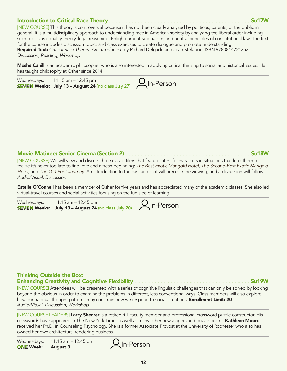### Introduction to Critical Race Theory..................................................................................................Su17W

[NEW COURSE] This theory is controversial because it has not been clearly analyzed by politicos, parents, or the public in general. It is a multidisciplinary approach to understanding race in American society by analyzing the liberal order including such topics as equality theory, legal reasoning, Enlightenment rationalism, and neutral principles of constitutional law. The text for the course includes discussion topics and class exercises to create dialogue and promote understanding. Required Text: *Critical Race Theory: An Introduction* by Richard Delgado and Jean Stefancic, ISBN 9780814721353 *Discussion, Reading, Workshop*

Moshe Cahill is an academic philosopher who is also interested in applying critical thinking to social and historical issues. He has taught philosophy at Osher since 2014.



Movie Matinee: Senior Cinema (Section 2).......................................................................................Su18W

[NEW COURSE] We will view and discuss three classic films that feature later-life characters in situations that lead them to realize it's never too late to find love and a fresh beginning: *The Best Exotic Marigold Hotel*, *The Second-Best Exotic Marigold Hotel*, and *The 100-Foot Journey*. An introduction to the cast and plot will precede the viewing, and a discussion will follow. *Audio/Visual, Discussion*

**Estelle O'Connell** has been a member of Osher for five years and has appreciated many of the academic classes. She also led virtual-travel courses and social activities focusing on the fun side of learning.

| Wednesdays: | 11:15 am $-$ 12:45 pm                                      |               |
|-------------|------------------------------------------------------------|---------------|
|             | <b>SEVEN Weeks:</b> July 13 - August 24 (no class July 20) | $Q$ In-Person |

### Thinking Outside the Box: Enhancing Creativity and Cognitive Flexibility.................................................................................Su19W

[NEW COURSE] Attendees will be presented with a series of cognitive linguistic challenges that can only be solved by looking beyond the obvious in order to examine the problems in different, less conventional ways. Class members will also explore how our habitual thought patterns may constrain how we respond to social situations. **Enrollment Limit: 20** *Audio/Visual, Discussion, Workshop*

[NEW COURSE LEADERS] Larry Shearer is a retired RIT faculty member and professional crossword puzzle constructor. His crosswords have appeared in The New York Times as well as many other newspapers and puzzle books. Kathleen Moore received her Ph.D. in Counseling Psychology. She is a former Associate Provost at the University of Rochester who also has owned her own architectural rendering business.